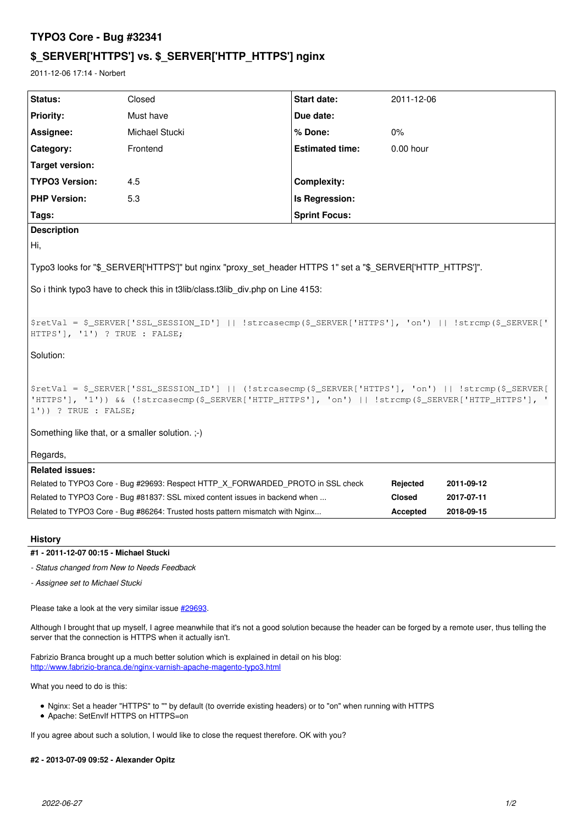# **TYPO3 Core - Bug #32341**

# **\$\_SERVER['HTTPS'] vs. \$\_SERVER['HTTP\_HTTPS'] nginx**

2011-12-06 17:14 - Norbert

| <b>Status:</b>                                                                                                                                                                                                                            | Closed                                                                          | <b>Start date:</b>     | 2011-12-06    |            |
|-------------------------------------------------------------------------------------------------------------------------------------------------------------------------------------------------------------------------------------------|---------------------------------------------------------------------------------|------------------------|---------------|------------|
| <b>Priority:</b>                                                                                                                                                                                                                          | Must have                                                                       | Due date:              |               |            |
| Assignee:                                                                                                                                                                                                                                 | Michael Stucki                                                                  | % Done:                | $0\%$         |            |
| Category:                                                                                                                                                                                                                                 | Frontend                                                                        | <b>Estimated time:</b> | 0.00 hour     |            |
| Target version:                                                                                                                                                                                                                           |                                                                                 |                        |               |            |
| <b>TYPO3 Version:</b>                                                                                                                                                                                                                     | 4.5                                                                             | <b>Complexity:</b>     |               |            |
| <b>PHP Version:</b>                                                                                                                                                                                                                       | 5.3                                                                             | Is Regression:         |               |            |
| Tags:                                                                                                                                                                                                                                     |                                                                                 | <b>Sprint Focus:</b>   |               |            |
| <b>Description</b>                                                                                                                                                                                                                        |                                                                                 |                        |               |            |
| ΙHi,                                                                                                                                                                                                                                      |                                                                                 |                        |               |            |
| Typo3 looks for "\$_SERVER['HTTPS']" but nginx "proxy_set_header HTTPS 1" set a "\$_SERVER['HTTP_HTTPS']".                                                                                                                                |                                                                                 |                        |               |            |
| So i think typo3 have to check this in t3lib/class.t3lib div.php on Line 4153:                                                                                                                                                            |                                                                                 |                        |               |            |
| SretVal = \$_SERVER['SSL_SESSION_ID']    !strcasecmp(\$_SERVER['HTTPS'], 'on')    !strcmp(\$_SERVER['<br>HTTPS'], '1') ? TRUE : FALSE;                                                                                                    |                                                                                 |                        |               |            |
| Solution:                                                                                                                                                                                                                                 |                                                                                 |                        |               |            |
| \$retVal = \$_SERVER['SSL_SESSION_ID']    (!strcasecmp(\$_SERVER['HTTPS'], 'on')    !strcmp(\$_SERVER[<br>'HITPS'], '1')) && (!strcasecmp(\$_SERVER['HITP_HITPS'], 'on')    !strcmp(\$_SERVER['HITP_HITPS'], '<br>$1')$ ) ? TRUE : FALSE; |                                                                                 |                        |               |            |
| Something like that, or a smaller solution. ;-)                                                                                                                                                                                           |                                                                                 |                        |               |            |
| Regards,                                                                                                                                                                                                                                  |                                                                                 |                        |               |            |
| <b>Related issues:</b>                                                                                                                                                                                                                    |                                                                                 |                        |               |            |
|                                                                                                                                                                                                                                           | Related to TYPO3 Core - Bug #29693: Respect HTTP_X_FORWARDED_PROTO in SSL check |                        | Rejected      | 2011-09-12 |
| Related to TYPO3 Core - Bug #81837: SSL mixed content issues in backend when                                                                                                                                                              |                                                                                 |                        | <b>Closed</b> | 2017-07-11 |
| Related to TYPO3 Core - Bug #86264: Trusted hosts pattern mismatch with Nginx                                                                                                                                                             |                                                                                 |                        | Accepted      | 2018-09-15 |

**History**

**#1 - 2011-12-07 00:15 - Michael Stucki**

*- Status changed from New to Needs Feedback*

*- Assignee set to Michael Stucki*

Please take a look at the very similar issue  $\frac{\#29693}{429693}$  $\frac{\#29693}{429693}$  $\frac{\#29693}{429693}$ .

Although I brought that up myself, I agree meanwhile that it's not a good solution because the header can be forged by a remote user, thus telling the server that the connection is HTTPS when it actually isn't.

Fabrizio Branca brought up a much better solution which is explained in detail on his blog: <http://www.fabrizio-branca.de/nginx-varnish-apache-magento-typo3.html>

What you need to do is this:

- Nginx: Set a header "HTTPS" to "" by default (to override existing headers) or to "on" when running with HTTPS
- Apache: SetEnvIf HTTPS on HTTPS=on

If you agree about such a solution, I would like to close the request therefore. OK with you?

## **#2 - 2013-07-09 09:52 - Alexander Opitz**